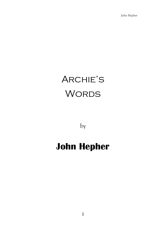John Hepher

## Archie's WORDS

by

## **John Hepher**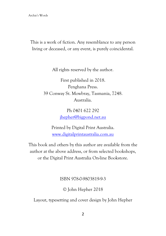#### This is a work of fiction. Any resemblance to any person living or deceased, or any event, is purely coincidental.

All rights reserved by the author.

First published in 2018. Penghana Press. 39 Conway St. Mowbray, Tasmania, 7248. Australia.

> Ph 0401 622 292 [jhepher@bigpond.net.au](mailto:jhepher@bigpond.net.au)

Printed by Digital Print Australia. [www.digitalprintaustralia.com.au](http://www.digitalprintaustralia.com.au/)

This book and others by this author are available from the author at the above address, or from selected bookshops, or the Digital Print Australia On-line Bookstore.

#### ISBN 978-0-9803819-9-3

#### © John Hepher 2018

Layout, typesetting and cover design by John Hepher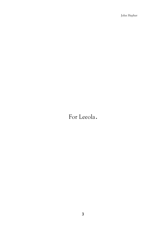John Hepher

### For Leeola*.*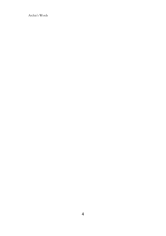Archie's Words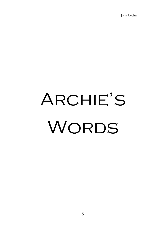John Hepher

# Archie's WORDS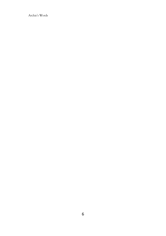Archie's Words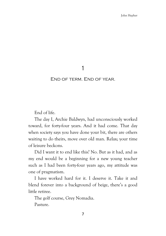1

#### End of term. End of year.

End of life.

 The day I, Archie Baldwyn, had unconsciously worked toward, for forty-four years. And it had come. That day when society says you have done your bit, there are others waiting to do theirs, move over old man. Relax; your time of leisure beckons.

 Did I want it to end like this? No. But as it had, and as my end would be a beginning for a new young teacher such as I had been forty-four years ago, my attitude was one of pragmatism.

 I have worked hard for it. I deserve it. Take it and blend forever into a background of beige, there's a good little retiree.

The golf course, Grey Nomadia.

Pasture.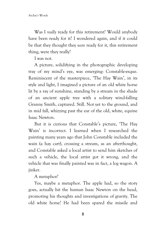Was I *really* ready for this retirement? Would anybody have been ready for it? I wondered again, and if it could be that they thought they *were* ready for it, this retirement thing, were they really?

I was not.

 A picture, solidifying in the photographic developing tray of my mind's eye, was emerging: Constable-esque. Reminiscent of the masterpiece, 'The Hay Wain', in its style and light, I imagined a picture of an old white horse lit by a ray of sunshine, standing by a stream in the shade of an ancient apple tree with a solitary wind-falling Granny Smith, captured. Still. Not yet to the ground, and in mid fall, whizzing past the ear of the old, white, equine Isaac Newton.

 But it is curious that Constable's picture, 'The Hay Wain' is incorrect. I learned when I researched the painting many years ago that John Constable included the wain (a hay cart), crossing a stream, as an afterthought, and Constable asked a local artist to send him sketches of such a vehicle, the local artist got it wrong, and the vehicle that was finally painted was in fact, a log wagon. A jinker.

A metaphor?

 Yes, maybe a metaphor. The apple had, so the story goes, actually hit the human Isaac Newton on the head, promoting his thoughts and investigations of gravity. The old white horse? He had been spared the missile and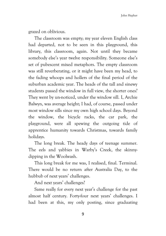grazed on oblivious.

 The classroom was empty; my year eleven English class had departed, not to be seen in this playground, this library, this classroom, again. Not until they became somebody else's year twelve responsibility. Someone else's set of pubescent mixed metaphors. The empty classroom was still reverberating, or it might have been my head, to the fading whoops and hollers of the final period of the suburban academic year. The heads of the tall and sinewy students passed the window in full view, the shorter ones? They went by un-noticed, under the window sill. I, Archie Balwyn, was average height; I had, of course, passed under most window sills since my own high school days. Beyond the window, the bicycle racks, the car park, the playground, were all spewing the outgoing tide of apprentice humanity towards Christmas, towards family holidays.

 The long break. The heady days of teenage summer. The eels and yabbies in Warby's Creek, the skinnydipping in the Woolwash.

 This long break for me was, I realised, final. Terminal. There would be no return after Australia Day, to the hubbub of next years' challenges.

And next years' challenges?

 Same really for every next year's challenge for the past almost half century. Forty-four next years' challenges. I had been at this, my only posting, since graduating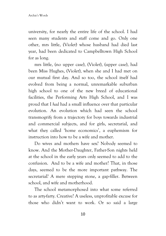university, for nearly the entire life of the school. I had seen many students and staff come and go. Only one other, mrs little, (Violet) whose husband had died last year, had been dedicated to Campbelltown High School for as long.

 mrs little, (no upper case), (Violet), (upper case), had been Miss Hughes, (Violet), when she and I had met on our mutual first day. And so too, the school itself had evolved from being a normal, unremarkable suburban high school to one of the new breed of educational facilities, the Performing Arts High School, and I was proud that I *had* had a small influence over that particular evolution. An evolution which had seen the school transmogrify from a trajectory for boys towards industrial and commercial subjects, and for girls, secretarial, and what they called 'home economics', a euphemism for instruction into how to be a wife and mother.

 Do wives and mothers have sex? Nobody seemed to know. And the Mother-Daughter, Father-Son nights held at the school in the early years only seemed to add to the confusion. And to be a wife and mother? That, in those days, seemed to be the more important pathway. The secretarial? A mere stepping stone, a gap-filler. Between school, and wife and motherhood.

 The school metamorphosed into what some referred to as arty-farty. Creative? A useless, unprofitable excuse for those who didn't want to work. Or so said a large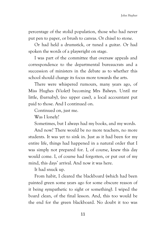percentage of the stolid population, those who had never put pen to paper, or brush to canvas. Or chisel to stone.

 Or had held a drumstick, or tuned a guitar. Or had spoken the words of a playwright on stage.

 I was part of the committee that oversaw appeals and correspondence to the departmental bureaucrats and a succession of ministers in the debate as to whether this school should change its focus more towards the arts.

 There were whispered rumours, many years ago, of Miss Hughes (Violet) becoming Mrs Balwyn. Until mr little, (barnaby), (no upper case), a local accountant put paid to those. And I continued on.

Continued on, just me.

Was I lonely?

Sometimes, but I always had my books, and my words.

 And now? There would be no more teachers, no more students. It was yet to sink in. Just as it had been for my entire life, things had happened in a natural order that I was simply not prepared for. I, of course, knew this day would come. I, of course had forgotten, or put out of my mind, this days' arrival. And now it was here.

It had snuck up.

 From habit, I cleared the blackboard (which had been painted green some years ago for some obscure reason of it being sympathetic to sight or something). I wiped the board clean, of the final lesson. And, this too would be the end for the green blackboard. No doubt it too was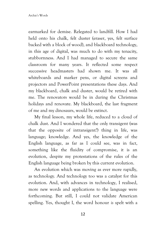earmarked for demise. Relegated to landfill. How I had held onto his chalk, felt duster (eraser, yes, felt surface backed with a block of wood), and blackboard technology, in this age of digital, was much to do with my tenacity, stubbornness. And I had managed to secure the same classroom for many years. It reflected some respect successive headmasters had shown me. It was all whiteboards and marker pens, or digital screens and projectors and PowerPoint presentations these days. And my blackboard, chalk and duster, would be retired with me. The renovators would be in during the Christmas holidays and renovate. My blackboard, the last fragment of me and my dinosaurs, would be extinct.

 My final lesson, my whole life, reduced to a cloud of chalk dust. And I wondered that the only transigent (was that the opposite of intransigent?) thing in life, was language; knowledge. And yes, the knowledge of the English language, as far as I could see, was in fact, something like the fluidity of compromise, it is an evolution, despite my protestations of the rules of the English language being broken by this current evolution.

 An evolution which was moving as ever more rapidly, as technology. And technology too was a catalyst for this evolution. And, with advances in technology, I realised, more new words and applications to the language were forthcoming. But still, I could not validate American spelling. Yes, thought I, the word honour *is* spelt with a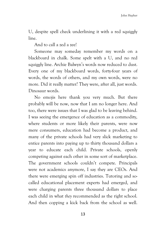U, despite spell check underlining it with a red squiggly line.

And to call a zed a zee!

 Someone may someday remember my words on a blackboard in chalk. Some spelt with a U, and no red squiggly line. Archie Balwyn's words now reduced to dust. Every one of my blackboard words, forty-four years of words, the words of others, and my own words, were no more. Did it really matter? They were, after all, just words. Dinosaur words.

 No emojis here thank you very much. But there probably will be now, now that I am no longer here. And too, there were issues that I was glad to be leaving behind. I was seeing the emergence of education as a commodity, where students or more likely their parents, were now mere consumers, education had become a product, and many of the private schools had very slick marketing to entice parents into paying up to thirty thousand dollars a year to educate each child. Private schools, openly competing against each other in some sort of marketplace. The government schools couldn't compete. Principals were not academics anymore, I say they are CEOs. And there were emerging spin off industries. Tutoring and socalled educational placement experts had emerged, and were charging parents three thousand dollars to place each child in what *they* recommended as the right school. And then copping a kick back from the school as well.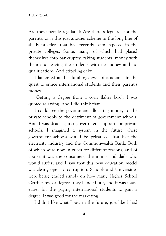Are these people regulated? Are there safeguards for the parents, or is this just another scheme in the long line of shady practices that had recently been exposed in the private colleges. Some, many, of which had placed themselves into bankruptcy, taking students' money with them and leaving the students with no money and no qualifications. And crippling debt.

 I lamented at the dumbing-down of academia in the quest to entice international students and their parent's money.

 "Getting a degree from a corn flakes box", I was quoted as saying. And I did think that.

 I could see the government allocating money to the private schools to the detriment of government schools. And I was dead against government support for private schools. I imagined a system in the future where government schools would be privatised. Just like the electricity industry and the Commonwealth Bank. Both of which were now in crises for different reasons, and of course it was the consumers, the mums and dads who would suffer, and I saw that this new education model was clearly open to corruption. Schools and Universities were being graded simply on how many Higher School Certificates, or degrees they handed out, and it was made easier for the paying international students to gain a degree. It was good for the marketing.

I didn't like what I saw in the future, just like I had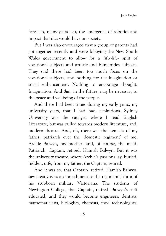foreseen, many years ago, the emergence of robotics and impact that *that* would have on society.

 But I was also encouraged that a group of parents had got together recently and were lobbying the New South Wales government to allow for a fifty-fifty split of vocational subjects and artistic and humanities subjects. They said there had been too much focus on the vocational subjects, and nothing for the imagination or social enhancement. Nothing to encourage thought. Imagination. And *that,* in the future, may be necessary to the peace and wellbeing of the people.

 And there had been times during my early years, my university years, that I had had, aspirations. Sydney University was the catalyst, where I read English Literature, but was pulled towards modern literature, and, modern theatre. And, oh, there was the nemesis of my father, patriarch over the 'domestic regiment' of me, Archie Balwyn, my mother, and, of course, the maid. Patriarch, Captain, retired, Hamish Balwyn. But it was the university theatre, where Archie's passions lay, buried, hidden, safe, from my father, the Captain, retired.

 And it was so, that Captain, retired, Hamish Balwyn, saw creativity as an impediment to the regimental form of his stubborn military Victoriana. The students of Newington College, that Captain, retired, Balwyn's staff educated, and they would become engineers, dentists, mathematicians, biologists, chemists, food technologists,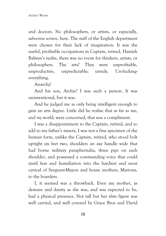and doctors. No philosophers, or artists, or especially, *subversive writers,* here. The staff of the English department were chosen for their lack of imagination. It was the useful, profitable occupations in Captain, retired, Hamish Balwyn's realm, there was no room for thinkers, artists, or philosophers. The arts? They were unprofitable, unproductive, unpredictable; unruly. Un-fuckingeverything.

Anarchy!

 And his son, Archie? I was such a person. It was unintentional, but it was.

 And he judged me as only being intelligent enough to gain an arts degree. Little did he realise that as far as me, and *my* world, were concerned, that was a compliment.

 I was a disappointment to the Captain, retired, and to add to my father's misery, I was not a fine specimen of the human form, unlike the Captain, retired, who stood bolt upright six feet two, shoulders an axe handle wide that had borne military paraphernalia, three pips on each shoulder, and possessed a commanding voice that could instil fear and humiliation into the hardiest and most cynical of Sergeant-Majors and house mothers, Matrons, to the boarders.

 I, it seemed was a throwback. Even my mother, as demure and dainty as she was, and was expected to be, had a physical presence. Not tall but her slim figure was well carried, and well covered by Grace Bros and David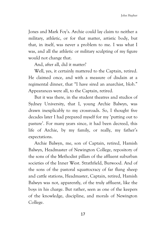Jones and Mark Foy's. Archie could lay claim to neither a military, athletic, or for that matter, artistic body, but that, in itself, was never a problem to me. I was what I was, and all the athletic or military sculpting of my figure would not change that.

And, after all, did it matter?

 Well, yes, it certainly mattered to the Captain, retired. He claimed once, and with a measure of disdain at a regimental dinner, that "I have sired an anarchist, blob." Appearances were all, to the Captain, retired.

 But it was there, in the student theatres and studios of Sydney University, that I, young Archie Balwyn, was drawn inexplicably to my crossroads. So, I thought five decades later I had prepared myself for my 'putting out to pasture'. For many years since, it had been decreed, this life of Archie, by my family, or really, my father's expectations.

 Archie Balwyn, me, son of Captain, retired, Hamish Balwyn, Headmaster of Newington College, repository of the sons of the Methodist pillars of the affluent suburban societies of the Inner West. Strathfield, Burwood. And of the sons of the pastoral squattocracy of far flung sheep and cattle stations, Headmaster, Captain, retired, Hamish Balwyn was not, apparently, of the truly affluent, like the boys in his charge. But rather, seen as one of the keepers of the knowledge, discipline, and morals of Newington College.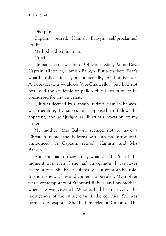Discipline.

 Captain, retired, Hamish Balwyn, self-proclaimed erudite.

Methodist disciplinarian.

Cruel.

 He had been a war hero. Officer, medals, Anzac Day. Captain. (Retired), Hamish Balwyn. But a teacher? That's what he called himself, but no actually, an administrator. A bureaucrat, a would-be Vice-Chancellor, but had not possessed the academic or philosophical attributes to be considered for any university.

 I, it was decreed by Captain, retired Hamish Balwyn, was therefore, by succession, supposed to follow the apparent, and self-judged as illustrious, vocation of my father.

 My mother, Mrs Balwyn, seemed not to have a Christian name; the Balwyns were always introduced, announced, as Captain, retired, Hamish, and Mrs Balwyn.

 And she had no say in *it*, whatever the 'it' of the moment was, even if she had an opinion. I was never aware of one. She had a submissive but comfortable role. In short, she was lazy and content to be ruled. My mother was a contemporary of Stamford Raffles, and my mother, when she was Gwyneth Woolfe, had been privy to the indulgences of the ruling class in the colonies. She was born in Singapore. She had married a Captain. The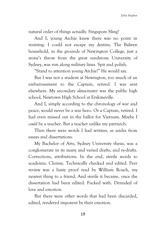natural order of things actually. Singapore Sling?

 And I, young Archie knew there was no point in resisting. I could not escape my destiny. The Balwyn household, in the grounds of Newington College, just a stone's throw from the great sandstone University of Sydney, was run along military lines. Spit and polish.

"Stand to attention young Archie!" He would say.

 But I was not a student at Newington, too much of an embarrassment to the Captain, retired. I was sent elsewhere. My secondary alma-mater was the public high school, Newtown High School at Erskineville.

 And I, simply according to the chronology of war and peace, would never be a war hero. Or a Captain, retired. I had even missed out in the ballot for Vietnam. Maybe I *could* be a teacher. But a teacher unlike my patriarch.

 Then there were words I had written, as asides from essays and dissertations.

 My Bachelor of Arts, Sydney University thesis, was a conglomerate in its many and varied drafts, and re-drafts. Corrections, attributions. In the end, sterile words to academia. Clumsy. Technically checked and edited. Peer review was a hasty proof read by William Roach, my nearest thing to a friend. And sterile it became, once the dissertation had been edited. Fucked with. Denuded of love and emotion.

 But there were other words that had been discarded, edited, rendered impotent by their emotion.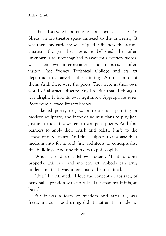I had discovered the emotion of language at the Tin Sheds, an art/theatre space annexed to the university. It was there my curiosity was piqued. Oh, how the actors, amateur though they were, embellished the often unknown and unrecognised playwright's written words, with their own interpretations and nuances. I often visited East Sydney Technical College and its art department to marvel at the paintings. Abstract, most of them. And, there were the poets. They were in their own world of abstract, obscure English. But that, I thought, was alright. It had its own legitimacy. Appropriate even. Poets were allowed literary licence.

 I likened poetry to jazz, or to abstract painting or modern sculpture, and it took fine musicians to play jazz, just as it took fine writers to compose poetry. And fine painters to apply their brush and palette knife to the canvas of modern art. And fine sculptors to massage their medium into form, and fine architects to conceptualise fine buildings. And fine thinkers to philosophise.

 "And," I said to a fellow student, "If it is done properly, this jazz, and modern art, nobody can truly understand it". It was an enigma to the untrained.

 "But," I continued, "I love the concept of abstract, of personal expression with no rules. Is it anarchy? If it is, so be it."

 But it was a form of freedom and after all, was freedom not a good thing, did it matter if it made no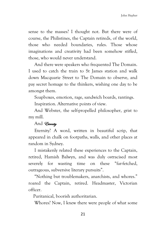sense to the masses? I thought not. But there were of course, the Philistines, the Captain retireds, of the world, those who needed boundaries, rules. Those whose imaginations and creativity had been somehow stifled, those, who would never understand.

 And there were speakers who frequented The Domain. I used to catch the train to St James station and walk down Macquarie Street to The Domain to observe, and pay secret homage to the thinkers, wishing one day to be amongst them.

Soapboxes, emotion, rage, sandwich boards, rantings.

Inspiration. Alternative points of view.

 And Webster, the self-propelled philosopher, grist to my mill.

#### And *Gternity*.

 Eternity? A word, written in beautiful scrip, that appeared in chalk on footpaths, walls, and other places at random in Sydney.

 I mistakenly related these experiences to the Captain, retired, Hamish Balwyn, and was duly ostracised most severely for wasting time on these "far-fetched, outrageous, subversive literary pursuits".

 "Nothing but troublemakers, anarchists, and whores." roared the Captain, retired. Headmaster, Victorian officer.

Puritanical, boorish authoritarian.

Whores? Now, I knew there were people of what some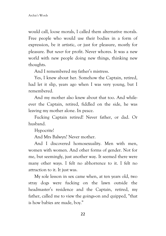would call, loose morals, I called them alternative morals. Free people who would use their bodies in a form of expression, be it artistic, or just for pleasure, mostly for pleasure. But *never* for profit. Never whores. It was a new world with new people doing new things, thinking new thoughts.

And I remembered my father's mistress.

 Yes, I knew about her. Somehow the Captain, retired, had let it slip, years ago when I was very young, but I remembered.

 And my mother also knew about that too. And whileever the Captain, retired, fiddled on the side, he was leaving my mother alone. In peace.

 Fucking Captain retired! Never father, or dad. Or husband.

Hypocrite!

And Mrs Balwyn? Never mother.

 And I discovered homosexuality. Men with men, women with women. And other forms of gender. Not for me, but seemingly, just another way. It seemed there were many other ways. I felt no abhorrence to it. I felt no attraction to it. It just was.

 My sole lesson in sex came when, at ten years old, two stray dogs were fucking on the lawn outside the headmaster's residence and the Captain, retired, my father, called me to view the goings-on and quipped, "that is how babies are made, boy."